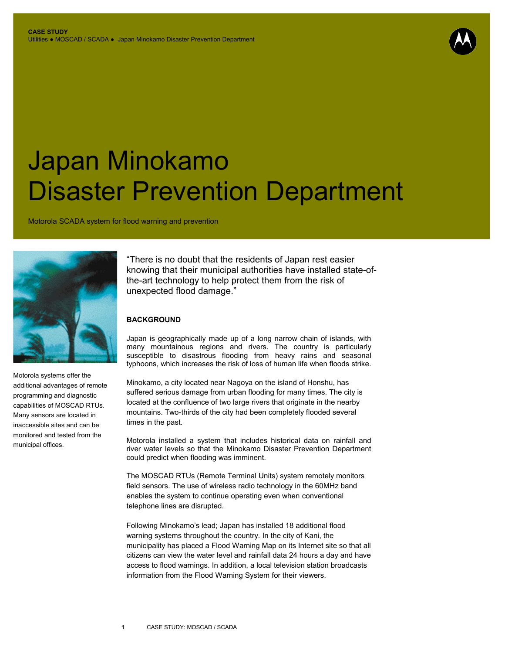## Japan Minokamo Disaster Prevention Department

Motorola SCADA system for flood warning and prevention



Motorola systems offer the additional advantages of remote programming and diagnostic capabilities of MOSCAD RTUs. Many sensors are located in inaccessible sites and can be monitored and tested from the municipal offices.

"There is no doubt that the residents of Japan rest easier knowing that their municipal authorities have installed state-ofthe-art technology to help protect them from the risk of unexpected flood damage."

## **BACKGROUND**

Japan is geographically made up of a long narrow chain of islands, with many mountainous regions and rivers. The country is particularly susceptible to disastrous flooding from heavy rains and seasonal typhoons, which increases the risk of loss of human life when floods strike.

Minokamo, a city located near Nagoya on the island of Honshu, has suffered serious damage from urban flooding for many times. The city is located at the confluence of two large rivers that originate in the nearby mountains. Two-thirds of the city had been completely flooded several times in the past.

Motorola installed a system that includes historical data on rainfall and river water levels so that the Minokamo Disaster Prevention Department could predict when flooding was imminent.

The MOSCAD RTUs (Remote Terminal Units) system remotely monitors field sensors. The use of wireless radio technology in the 60MHz band enables the system to continue operating even when conventional telephone lines are disrupted.

Following Minokamo's lead; Japan has installed 18 additional flood warning systems throughout the country. In the city of Kani, the municipality has placed a Flood Warning Map on its Internet site so that all citizens can view the water level and rainfall data 24 hours a day and have access to flood warnings. In addition, a local television station broadcasts information from the Flood Warning System for their viewers.